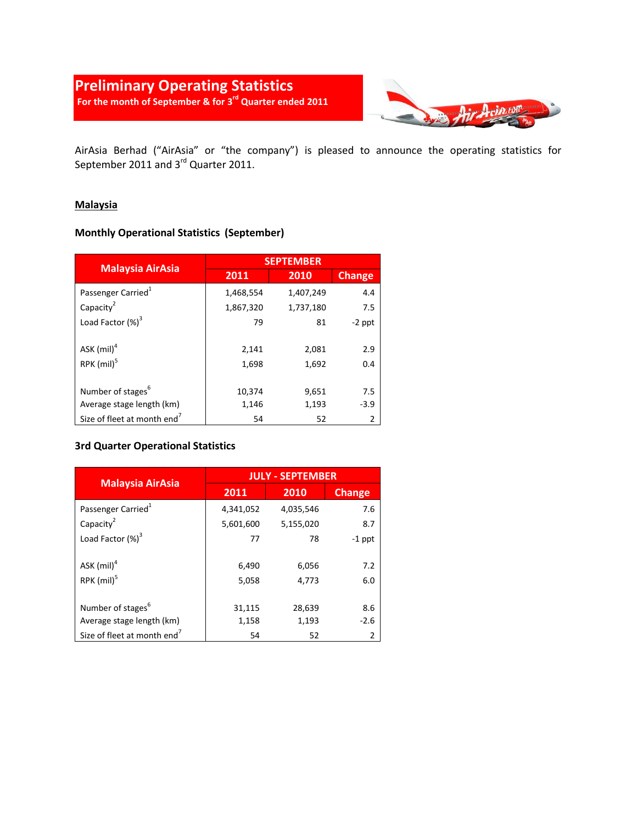# **Preliminary Operating Statistics For the month of September & for 3 rd Quarter ended 2011**



AirAsia Berhad ("AirAsia" or "the company") is pleased to announce the operating statistics for September 2011 and 3<sup>rd</sup> Quarter 2011.

#### **Malaysia**

### **Monthly Operational Statistics (September)**

|                                         |           | <b>SEPTEMBER</b> |               |
|-----------------------------------------|-----------|------------------|---------------|
| <b>Malaysia AirAsia</b>                 | 2011      | 2010             | <b>Change</b> |
| Passenger Carried <sup>1</sup>          | 1,468,554 | 1,407,249        | 4.4           |
| Capacity <sup>2</sup>                   | 1,867,320 | 1,737,180        | 7.5           |
| Load Factor $(\%)^3$                    | 79        | 81               | $-2$ ppt      |
|                                         |           |                  |               |
| ASK (mil) <sup>4</sup>                  | 2,141     | 2,081            | 2.9           |
| $RPK$ (mil) <sup>5</sup>                | 1,698     | 1,692            | 0.4           |
|                                         |           |                  |               |
| Number of stages <sup>6</sup>           | 10,374    | 9,651            | 7.5           |
| Average stage length (km)               | 1,146     | 1,193            | $-3.9$        |
| Size of fleet at month end <sup>7</sup> | 54        | 52               | 2             |

#### **3rd Quarter Operational Statistics**

|                                         | <b>JULY - SEPTEMBER</b> |           |               |
|-----------------------------------------|-------------------------|-----------|---------------|
| <b>Malaysia AirAsia</b>                 | 2011                    | 2010      | <b>Change</b> |
| Passenger Carried <sup>1</sup>          | 4,341,052               | 4,035,546 | 7.6           |
| Capacity <sup>2</sup>                   | 5,601,600               | 5,155,020 | 8.7           |
| Load Factor $(\%)^3$                    | 77                      | 78        | $-1$ ppt      |
|                                         |                         |           |               |
| ASK $(mil)^4$                           | 6,490                   | 6,056     | 7.2           |
| RPK (mil) <sup>5</sup>                  | 5,058                   | 4,773     | 6.0           |
|                                         |                         |           |               |
| Number of stages <sup>6</sup>           | 31,115                  | 28,639    | 8.6           |
| Average stage length (km)               | 1,158                   | 1,193     | $-2.6$        |
| Size of fleet at month end <sup>7</sup> | 54                      | 52        | $\mathfrak z$ |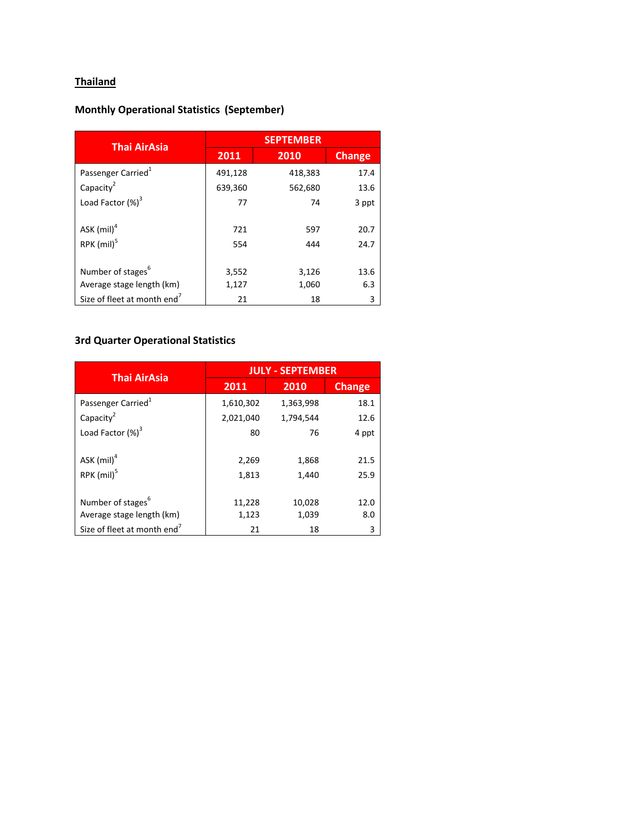# **Thailand**

# **Monthly Operational Statistics (September)**

| <b>Thai AirAsia</b>                                        | <b>SEPTEMBER</b> |                |               |
|------------------------------------------------------------|------------------|----------------|---------------|
|                                                            | 2011             | 2010           | <b>Change</b> |
| Passenger Carried <sup>1</sup>                             | 491,128          | 418,383        | 17.4          |
| Capacity <sup>2</sup>                                      | 639,360          | 562,680        | 13.6          |
| Load Factor $(\%)^3$                                       | 77               | 74             | 3 ppt         |
| ASK $(mil)^4$<br>$RPK$ (mil) <sup>5</sup>                  | 721<br>554       | 597<br>444     | 20.7<br>24.7  |
| Number of stages <sup>6</sup><br>Average stage length (km) | 3,552<br>1,127   | 3,126<br>1,060 | 13.6<br>6.3   |
| Size of fleet at month end <sup>7</sup>                    | 21               | 18             | 3             |

# **3rd Quarter Operational Statistics**

| <b>Thai AirAsia</b>                     | <b>JULY - SEPTEMBER</b> |           |               |
|-----------------------------------------|-------------------------|-----------|---------------|
|                                         | 2011                    | 2010      | <b>Change</b> |
| Passenger Carried <sup>1</sup>          | 1,610,302               | 1,363,998 | 18.1          |
| Capacity <sup>2</sup>                   | 2,021,040               | 1,794,544 | 12.6          |
| Load Factor (%) <sup>3</sup>            | 80                      | 76        | 4 ppt         |
|                                         |                         |           |               |
| ASK $(mil)^4$                           | 2,269                   | 1,868     | 21.5          |
| $RPK$ (mil) <sup>5</sup>                | 1,813                   | 1,440     | 25.9          |
|                                         |                         |           |               |
| Number of stages <sup>6</sup>           | 11,228                  | 10,028    | 12.0          |
| Average stage length (km)               | 1,123                   | 1,039     | 8.0           |
| Size of fleet at month end <sup>7</sup> | 21                      | 18        | 3             |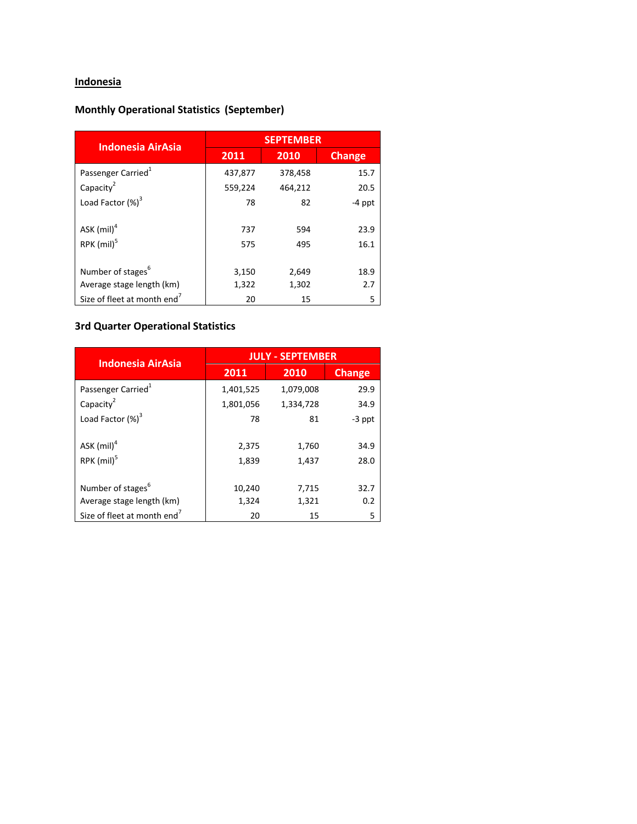# **Indonesia**

### **Monthly Operational Statistics (September)**

| <b>Indonesia AirAsia</b>                                   |                | <b>SEPTEMBER</b> |               |
|------------------------------------------------------------|----------------|------------------|---------------|
|                                                            | 2011           | 2010             | <b>Change</b> |
| Passenger Carried <sup>1</sup>                             | 437,877        | 378,458          | 15.7          |
| Capacity <sup>2</sup>                                      | 559,224        | 464,212          | 20.5          |
| Load Factor $(\%)^3$                                       | 78             | 82               | $-4$ ppt      |
| ASK $(mil)^4$<br>RPK (mil) <sup>5</sup>                    | 737<br>575     | 594<br>495       | 23.9<br>16.1  |
| Number of stages <sup>6</sup><br>Average stage length (km) | 3,150<br>1,322 | 2,649<br>1,302   | 18.9<br>2.7   |
| Size of fleet at month end <sup>7</sup>                    | 20             | 15               | 5             |

### **3rd Quarter Operational Statistics**

| <b>Indonesia AirAsia</b>                                   | <b>JULY - SEPTEMBER</b> |                |               |
|------------------------------------------------------------|-------------------------|----------------|---------------|
|                                                            | 2011                    | 2010           | <b>Change</b> |
| Passenger Carried <sup>1</sup>                             | 1,401,525               | 1,079,008      | 29.9          |
| Capacity <sup>2</sup>                                      | 1,801,056               | 1,334,728      | 34.9          |
| Load Factor $(\%)^3$                                       | 78                      | 81             | $-3$ ppt      |
| ASK $(mil)^4$<br>RPK (mil) <sup>5</sup>                    | 2,375<br>1,839          | 1,760<br>1,437 | 34.9<br>28.0  |
| Number of stages <sup>6</sup><br>Average stage length (km) | 10,240<br>1,324         | 7,715<br>1,321 | 32.7<br>0.2   |
| Size of fleet at month end <sup>7</sup>                    | 20                      | 15             | 5             |